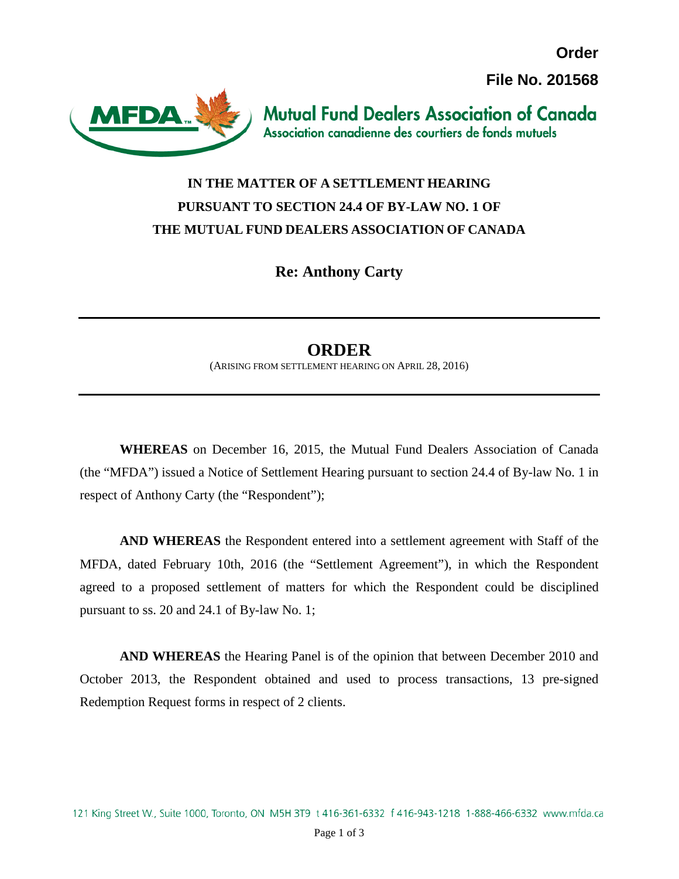**File No. 201568**

**Order**



**Mutual Fund Dealers Association of Canada** Association canadienne des courtiers de fonds mutuels

## **IN THE MATTER OF A SETTLEMENT HEARING PURSUANT TO SECTION 24.4 OF BY-LAW NO. 1 OF THE MUTUAL FUND DEALERS ASSOCIATION OF CANADA**

**Re: Anthony Carty**

## **ORDER**

(ARISING FROM SETTLEMENT HEARING ON APRIL 28, 2016)

**WHEREAS** on December 16, 2015, the Mutual Fund Dealers Association of Canada (the "MFDA") issued a Notice of Settlement Hearing pursuant to section 24.4 of By-law No. 1 in respect of Anthony Carty (the "Respondent");

**AND WHEREAS** the Respondent entered into a settlement agreement with Staff of the MFDA, dated February 10th, 2016 (the "Settlement Agreement"), in which the Respondent agreed to a proposed settlement of matters for which the Respondent could be disciplined pursuant to ss. 20 and 24.1 of By-law No. 1;

**AND WHEREAS** the Hearing Panel is of the opinion that between December 2010 and October 2013, the Respondent obtained and used to process transactions, 13 pre-signed Redemption Request forms in respect of 2 clients.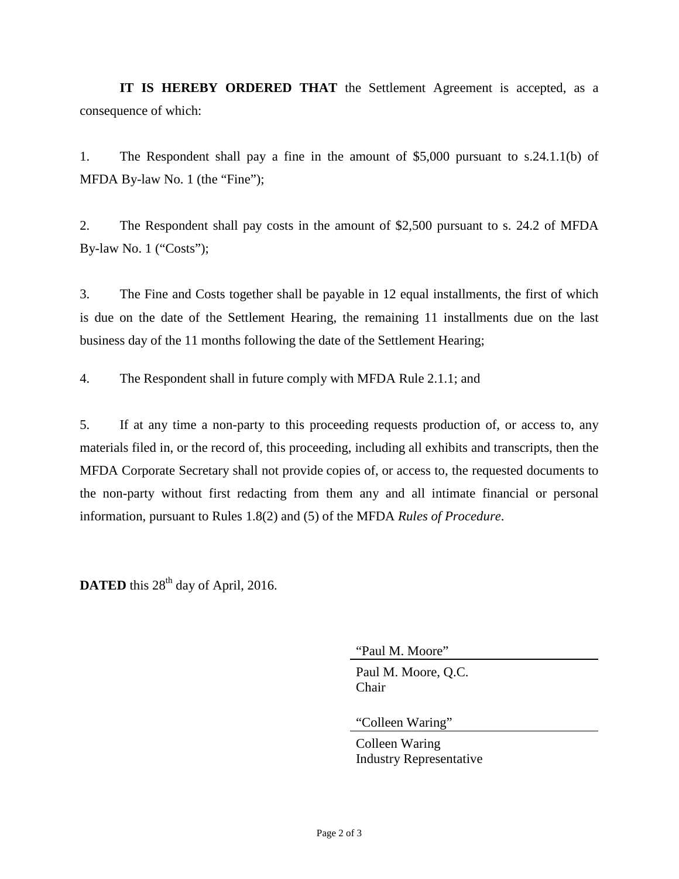**IT IS HEREBY ORDERED THAT** the Settlement Agreement is accepted, as a consequence of which:

1. The Respondent shall pay a fine in the amount of \$5,000 pursuant to s.24.1.1(b) of MFDA By-law No. 1 (the "Fine");

2. The Respondent shall pay costs in the amount of \$2,500 pursuant to s. 24.2 of MFDA By-law No. 1 ("Costs");

3. The Fine and Costs together shall be payable in 12 equal installments, the first of which is due on the date of the Settlement Hearing, the remaining 11 installments due on the last business day of the 11 months following the date of the Settlement Hearing;

4. The Respondent shall in future comply with MFDA Rule 2.1.1; and

5. If at any time a non-party to this proceeding requests production of, or access to, any materials filed in, or the record of, this proceeding, including all exhibits and transcripts, then the MFDA Corporate Secretary shall not provide copies of, or access to, the requested documents to the non-party without first redacting from them any and all intimate financial or personal information, pursuant to Rules 1.8(2) and (5) of the MFDA *Rules of Procedure*.

**DATED** this  $28<sup>th</sup>$  day of April, 2016.

"Paul M. Moore"

Paul M. Moore, Q.C. Chair

"Colleen Waring"

Colleen Waring Industry Representative